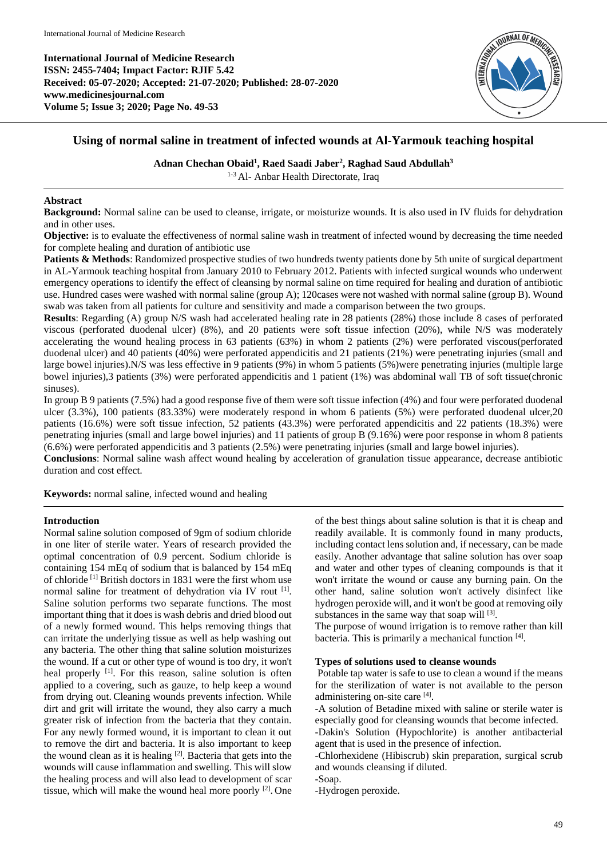**International Journal of Medicine Research ISSN: 2455-7404; Impact Factor: RJIF 5.42 Received: 05-07-2020; Accepted: 21-07-2020; Published: 28-07-2020 www.medicinesjournal.com Volume 5; Issue 3; 2020; Page No. 49-53**



# **Using of normal saline in treatment of infected wounds at Al-Yarmouk teaching hospital**

**Adnan Chechan Obaid<sup>1</sup> , Raed Saadi Jaber<sup>2</sup> , Raghad Saud Abdullah<sup>3</sup>**

1-3 Al- Anbar Health Directorate, Iraq

## **Abstract**

**Background:** Normal saline can be used to cleanse, irrigate, or moisturize wounds. It is also used in IV fluids for dehydration and in other uses.

**Objective:** is to evaluate the effectiveness of normal saline wash in treatment of infected wound by decreasing the time needed for complete healing and duration of antibiotic use

**Patients & Methods**: Randomized prospective studies of two hundreds twenty patients done by 5th unite of surgical department in AL-Yarmouk teaching hospital from January 2010 to February 2012. Patients with infected surgical wounds who underwent emergency operations to identify the effect of cleansing by normal saline on time required for healing and duration of antibiotic use. Hundred cases were washed with normal saline (group A); 120cases were not washed with normal saline (group B). Wound swab was taken from all patients for culture and sensitivity and made a comparison between the two groups.

**Results**: Regarding (A) group N/S wash had accelerated healing rate in 28 patients (28%) those include 8 cases of perforated viscous (perforated duodenal ulcer) (8%), and 20 patients were soft tissue infection (20%), while N/S was moderately accelerating the wound healing process in 63 patients (63%) in whom 2 patients (2%) were perforated viscous(perforated duodenal ulcer) and 40 patients (40%) were perforated appendicitis and 21 patients (21%) were penetrating injuries (small and large bowel injuries).N/S was less effective in 9 patients (9%) in whom 5 patients (5%)were penetrating injuries (multiple large bowel injuries),3 patients (3%) were perforated appendicitis and 1 patient (1%) was abdominal wall TB of soft tissue(chronic sinuses).

In group B 9 patients (7.5%) had a good response five of them were soft tissue infection (4%) and four were perforated duodenal ulcer (3.3%), 100 patients (83.33%) were moderately respond in whom 6 patients (5%) were perforated duodenal ulcer,20 patients (16.6%) were soft tissue infection, 52 patients (43.3%) were perforated appendicitis and 22 patients (18.3%) were penetrating injuries (small and large bowel injuries) and 11 patients of group B (9.16%) were poor response in whom 8 patients (6.6%) were perforated appendicitis and 3 patients (2.5%) were penetrating injuries (small and large bowel injuries).

**Conclusions**: Normal saline wash affect wound healing by acceleration of granulation tissue appearance, decrease antibiotic duration and cost effect.

**Keywords:** normal saline, infected wound and healing

## **Introduction**

Normal saline solution composed of 9gm of sodium chloride in one liter of sterile water. Years of research provided the optimal concentration of 0.9 percent. Sodium chloride is containing 154 mEq of sodium that is balanced by 154 mEq of chloride [1] British doctors in 1831 were the first whom use normal saline for treatment of dehydration via IV rout [1]. Saline solution performs two separate functions. The most important thing that it does is wash debris and dried blood out of a newly formed wound. This helps removing things that can irritate the underlying tissue as well as help washing out any bacteria. The other thing that saline solution moisturizes the wound. If a cut or other type of wound is too dry, it won't heal properly <sup>[1]</sup>. For this reason, saline solution is often applied to a covering, such as gauze, to help keep a wound from drying out. Cleaning wounds prevents infection. While dirt and grit will irritate the wound, they also carry a much greater risk of infection from the bacteria that they contain. For any newly formed wound, it is important to clean it out to remove the dirt and bacteria. It is also important to keep the wound clean as it is healing  $[2]$ . Bacteria that gets into the wounds will cause inflammation and swelling. This will slow the healing process and will also lead to development of scar tissue, which will make the wound heal more poorly <sup>[2]</sup>. One

of the best things about saline solution is that it is cheap and readily available. It is commonly found in many products, including contact lens solution and, if necessary, can be made easily. Another advantage that saline solution has over soap and water and other types of cleaning compounds is that it won't irritate the wound or cause any burning pain. On the other hand, saline solution won't actively disinfect like hydrogen peroxide will, and it won't be good at removing oily substances in the same way that soap will [3].

The purpose of wound irrigation is to remove rather than kill bacteria. This is primarily a mechanical function [4].

### **Types of solutions used to cleanse wounds**

Potable tap water is safe to use to clean a wound if the means for the sterilization of water is not available to the person administering on-site care [4].

-A solution of Betadine mixed with saline or sterile water is especially good for cleansing wounds that become infected.

-Dakin's Solution (Hypochlorite) is another antibacterial agent that is used in the presence of infection.

-Chlorhexidene (Hibiscrub) skin preparation, surgical scrub and wounds cleansing if diluted.

-Soap.

-Hydrogen peroxide.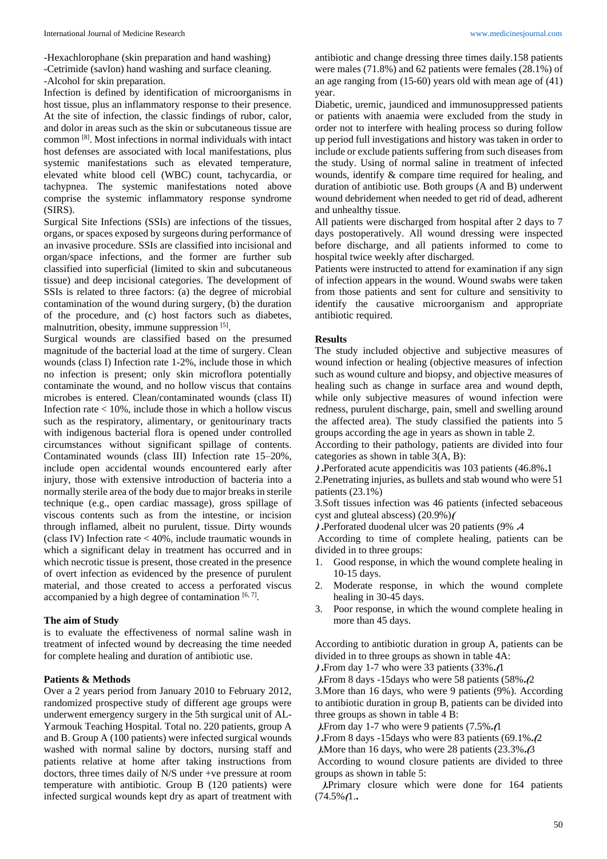-Hexachlorophane (skin preparation and hand washing) -Cetrimide (savlon) hand washing and surface cleaning. -Alcohol for skin preparation.

Infection is defined by identification of microorganisms in host tissue, plus an inflammatory response to their presence. At the site of infection, the classic findings of rubor, calor, and dolor in areas such as the skin or subcutaneous tissue are common [8] . Most infections in normal individuals with intact host defenses are associated with local manifestations, plus systemic manifestations such as elevated temperature, elevated white blood cell (WBC) count, tachycardia, or tachypnea. The systemic manifestations noted above comprise the systemic inflammatory response syndrome (SIRS).

Surgical Site Infections (SSIs) are infections of the tissues, organs, or spaces exposed by surgeons during performance of an invasive procedure. SSIs are classified into incisional and organ/space infections, and the former are further sub classified into superficial (limited to skin and subcutaneous tissue) and deep incisional categories. The development of SSIs is related to three factors: (a) the degree of microbial contamination of the wound during surgery, (b) the duration of the procedure, and (c) host factors such as diabetes, malnutrition, obesity, immune suppression [5].

Surgical wounds are classified based on the presumed magnitude of the bacterial load at the time of surgery. Clean wounds (class I) Infection rate 1-2%, include those in which no infection is present; only skin microflora potentially contaminate the wound, and no hollow viscus that contains microbes is entered. Clean/contaminated wounds (class II) Infection rate  $< 10\%$ , include those in which a hollow viscus such as the respiratory, alimentary, or genitourinary tracts with indigenous bacterial flora is opened under controlled circumstances without significant spillage of contents. Contaminated wounds (class III) Infection rate 15–20%, include open accidental wounds encountered early after injury, those with extensive introduction of bacteria into a normally sterile area of the body due to major breaks in sterile technique (e.g., open cardiac massage), gross spillage of viscous contents such as from the intestine, or incision through inflamed, albeit no purulent, tissue. Dirty wounds (class IV) Infection rate < 40%, include traumatic wounds in which a significant delay in treatment has occurred and in which necrotic tissue is present, those created in the presence of overt infection as evidenced by the presence of purulent material, and those created to access a perforated viscus accompanied by a high degree of contamination  $[6, 7]$ .

### **The aim of Study**

is to evaluate the effectiveness of normal saline wash in treatment of infected wound by decreasing the time needed for complete healing and duration of antibiotic use.

## **Patients & Methods**

Over a 2 years period from January 2010 to February 2012, randomized prospective study of different age groups were underwent emergency surgery in the 5th surgical unit of AL-Yarmouk Teaching Hospital. Total no. 220 patients, group A and B. Group A (100 patients) were infected surgical wounds washed with normal saline by doctors, nursing staff and patients relative at home after taking instructions from doctors, three times daily of N/S under +ve pressure at room temperature with antibiotic. Group B (120 patients) were infected surgical wounds kept dry as apart of treatment with

antibiotic and change dressing three times daily.158 patients were males (71.8%) and 62 patients were females (28.1%) of an age ranging from (15-60) years old with mean age of (41) year.

Diabetic, uremic, jaundiced and immunosuppressed patients or patients with anaemia were excluded from the study in order not to interfere with healing process so during follow up period full investigations and history was taken in order to include or exclude patients suffering from such diseases from the study. Using of normal saline in treatment of infected wounds, identify & compare time required for healing, and duration of antibiotic use. Both groups (A and B) underwent wound debridement when needed to get rid of dead, adherent and unhealthy tissue.

All patients were discharged from hospital after 2 days to 7 days postoperatively. All wound dressing were inspected before discharge, and all patients informed to come to hospital twice weekly after discharged.

Patients were instructed to attend for examination if any sign of infection appears in the wound. Wound swabs were taken from those patients and sent for culture and sensitivity to identify the causative microorganism and appropriate antibiotic required.

### **Results**

The study included objective and subjective measures of wound infection or healing (objective measures of infection such as wound culture and biopsy, and objective measures of healing such as change in surface area and wound depth, while only subjective measures of wound infection were redness, purulent discharge, pain, smell and swelling around the affected area). The study classified the patients into 5 groups according the age in years as shown in table 2.

According to their pathology, patients are divided into four categories as shown in table 3(A, B):

**( .**Perforated acute appendicitis was 103 patients (46.8%**.**1

2.Penetrating injuries, as bullets and stab wound who were 51 patients (23.1%)

3.Soft tissues infection was 46 patients (infected sebaceous cyst and gluteal abscess) (20.9%)**)**

**( .**Perforated duodenal ulcer was 20 patients (9% **.**4

According to time of complete healing, patients can be divided in to three groups:

- 1. Good response, in which the wound complete healing in 10-15 days.
- 2. Moderate response, in which the wound complete healing in 30-45 days.
- 3. Poor response, in which the wound complete healing in more than 45 days.

According to antibiotic duration in group A, patients can be divided in to three groups as shown in table 4A:

**( .**From day 1-7 who were 33 patients (33%**.)**1

**).**From 8 days -15days who were 58 patients (58%.

3.More than 16 days, who were 9 patients (9%). According to antibiotic duration in group B, patients can be divided into three groups as shown in table 4 B:

**).**From day 1-7 who were 9 patients (7.5%.

**( .**From 8 days -15days who were 83 patients (69.1%**.)**2

**).**More than 16 days, who were 28 patients  $(23.3\% \cdot \mathcal{B})$ 

According to wound closure patients are divided to three groups as shown in table 5:

 **(.**Primary closure which were done for 164 patients  $(74.5\%)(1)$ ...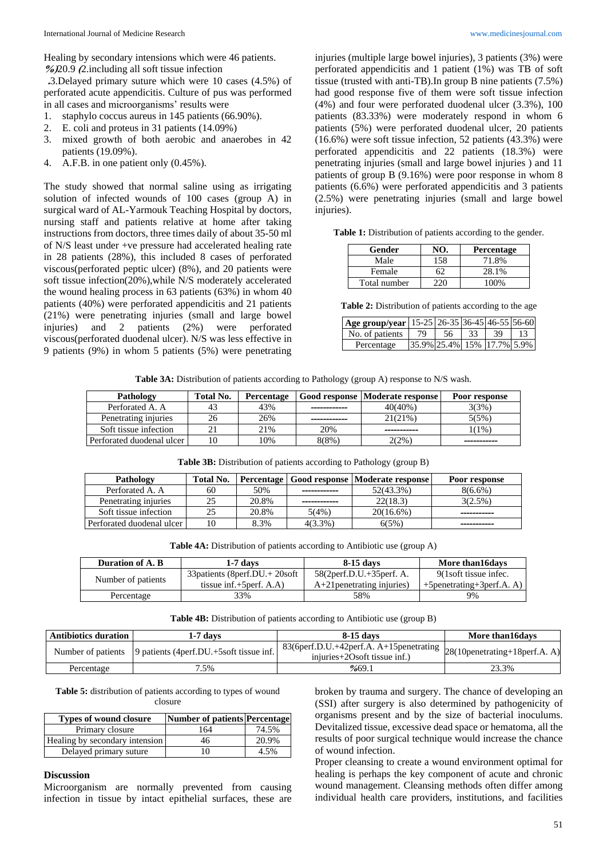Healing by secondary intensions which were 46 patients. **%(**20.9 **)**2.including all soft tissue infection

 **.**3.Delayed primary suture which were 10 cases (4.5%) of perforated acute appendicitis. Culture of pus was performed in all cases and microorganisms' results were

- 1. staphylo coccus aureus in 145 patients (66.90%).
- 2. E. coli and proteus in 31 patients (14.09%)
- 3. mixed growth of both aerobic and anaerobes in 42 patients (19.09%).
- 4. A.F.B. in one patient only (0.45%).

The study showed that normal saline using as irrigating solution of infected wounds of 100 cases (group A) in surgical ward of AL-Yarmouk Teaching Hospital by doctors, nursing staff and patients relative at home after taking instructions from doctors, three times daily of about 35-50 ml of N/S least under +ve pressure had accelerated healing rate in 28 patients (28%), this included 8 cases of perforated viscous(perforated peptic ulcer) (8%), and 20 patients were soft tissue infection(20%),while N/S moderately accelerated the wound healing process in 63 patients (63%) in whom 40 patients (40%) were perforated appendicitis and 21 patients (21%) were penetrating injuries (small and large bowel injuries) and 2 patients (2%) were perforated viscous(perforated duodenal ulcer). N/S was less effective in 9 patients (9%) in whom 5 patients (5%) were penetrating

injuries (multiple large bowel injuries), 3 patients (3%) were perforated appendicitis and 1 patient (1%) was TB of soft tissue (trusted with anti-TB).In group B nine patients (7.5%) had good response five of them were soft tissue infection (4%) and four were perforated duodenal ulcer (3.3%), 100 patients (83.33%) were moderately respond in whom 6 patients (5%) were perforated duodenal ulcer, 20 patients (16.6%) were soft tissue infection, 52 patients (43.3%) were perforated appendicitis and 22 patients (18.3%) were penetrating injuries (small and large bowel injuries ) and 11 patients of group B (9.16%) were poor response in whom 8 patients (6.6%) were perforated appendicitis and 3 patients (2.5%) were penetrating injuries (small and large bowel injuries).

Table 1: Distribution of patients according to the gender.

| Gender       | NO. | Percentage |
|--------------|-----|------------|
| Male         | 158 | 71.8%      |
| Female       | 62  | 28.1%      |
| Total number |     | 100%       |

**Table 2:** Distribution of patients according to the age

| Age group/year   15-25   26-35   36-45   46-55   56-60 |                            |    |    |    |
|--------------------------------------------------------|----------------------------|----|----|----|
| No. of patients                                        | 79                         | 56 | 39 | 13 |
| Percentage                                             | 35.9% 25.4% 15% 17.7% 5.9% |    |    |    |

**Table 3A:** Distribution of patients according to Pathology (group A) response to N/S wash.

| Pathology                 | Total No. | Percentage |       | Good response   Moderate response | Poor response |
|---------------------------|-----------|------------|-------|-----------------------------------|---------------|
| Perforated A. A.          | 43        | 43%        |       | $40(40\%)$                        | 3(3%)         |
| Penetrating injuries      | 26        | 26%        |       | 21(21%)                           | 5(5%)         |
| Soft tissue infection     |           | 21%        | 20%   |                                   | 1(1%)         |
| Perforated duodenal ulcer | 10        | 10%        | 8(8%) | 2(2%)                             |               |

|  | Table 3B: Distribution of patients according to Pathology (group B) |  |  |  |  |
|--|---------------------------------------------------------------------|--|--|--|--|
|--|---------------------------------------------------------------------|--|--|--|--|

| Pathology                 | Total No. |       |            | Percentage   Good response   Moderate response | Poor response |
|---------------------------|-----------|-------|------------|------------------------------------------------|---------------|
| Perforated A. A.          | 60        | 50%   |            | 52(43.3%)                                      | $8(6.6\%)$    |
| Penetrating injuries      |           | 20.8% |            | 22(18.3)                                       | 3(2.5%)       |
| Soft tissue infection     |           | 20.8% | 5(4%)      | $20(16.6\%)$                                   |               |
| Perforated duodenal ulcer |           | 8.3%  | $4(3.3\%)$ | 6(5%)                                          |               |

**Table 4A:** Distribution of patients according to Antibiotic use (group A)

| Duration of A. B.  | 1-7 davs                             | 8-15 days                    | More than 16 days                |
|--------------------|--------------------------------------|------------------------------|----------------------------------|
| Number of patients | 33 patients (8 perf. DU . + 20s of t | $58(2perf.D.U.+35perf.A.$    | 9(1soft tissue infec.            |
|                    | tissue inf. $+5$ perf. A.A)          | $A+21$ penetrating injuries) | $+5$ penetrating $+3$ perf.A. A) |
| Percentage         | 33%                                  | 58%                          | 9%                               |

**Table 4B:** Distribution of patients according to Antibiotic use (group B)

| <b>Antibiotics duration</b> | 1-7 davs                                                    | 8-15 days                                                                                                                               | More than 16 days |
|-----------------------------|-------------------------------------------------------------|-----------------------------------------------------------------------------------------------------------------------------------------|-------------------|
|                             | Number of patients 9 patients (4 perf.DU.+5s of tissue inf. | $\frac{1}{26}$   83(6perf.D.U.+42perf.A. A+15penetrating $28(10$ penetrating+18perf.A. A <sup>y</sup><br>$inivries+2Osoft tissue inf.)$ |                   |
| Percentage                  | 7.5%                                                        | %69.1                                                                                                                                   | 23.3%             |

**Table 5:** distribution of patients according to types of wound closure

| <b>Types of wound closure</b>  | <b>Number of patients Percentage</b> |       |
|--------------------------------|--------------------------------------|-------|
| Primary closure                | 164                                  | 74.5% |
| Healing by secondary intension | 46                                   | 20.9% |
| Delayed primary suture         | 10                                   | 4.5%  |

### **Discussion**

Microorganism are normally prevented from causing infection in tissue by intact epithelial surfaces, these are broken by trauma and surgery. The chance of developing an (SSI) after surgery is also determined by pathogenicity of organisms present and by the size of bacterial inoculums. Devitalized tissue, excessive dead space or hematoma, all the results of poor surgical technique would increase the chance of wound infection.

Proper cleansing to create a wound environment optimal for healing is perhaps the key component of acute and chronic wound management. Cleansing methods often differ among individual health care providers, institutions, and facilities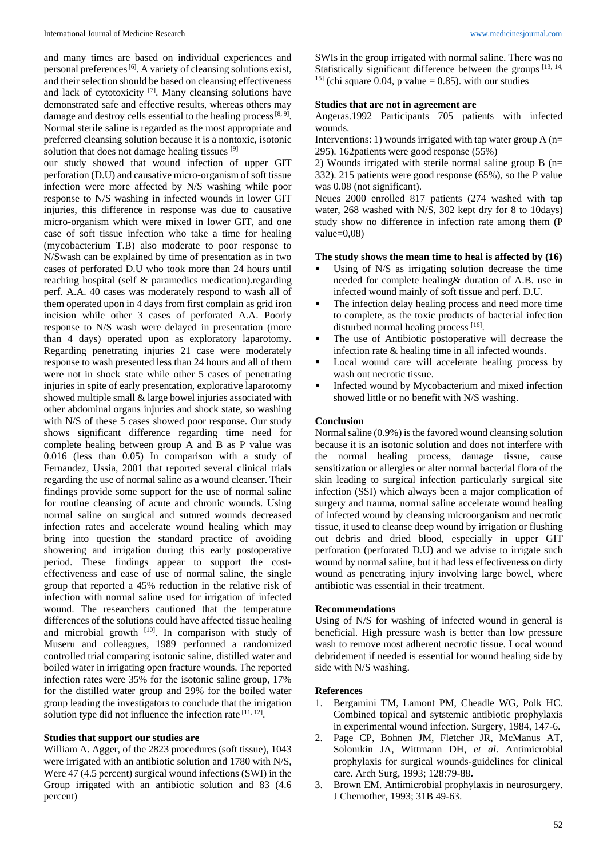and many times are based on individual experiences and personal preferences<sup>[6]</sup>. A variety of cleansing solutions exist, and their selection should be based on cleansing effectiveness and lack of cytotoxicity<sup>[7]</sup>. Many cleansing solutions have demonstrated safe and effective results, whereas others may damage and destroy cells essential to the healing process  $[8, 9]$ . Normal sterile saline is regarded as the most appropriate and preferred cleansing solution because it is a nontoxic, isotonic solution that does not damage healing tissues [9]

our study showed that wound infection of upper GIT perforation (D.U) and causative micro-organism of soft tissue infection were more affected by N/S washing while poor response to N/S washing in infected wounds in lower GIT injuries, this difference in response was due to causative micro-organism which were mixed in lower GIT, and one case of soft tissue infection who take a time for healing (mycobacterium T.B) also moderate to poor response to N/Swash can be explained by time of presentation as in two cases of perforated D.U who took more than 24 hours until reaching hospital (self & paramedics medication).regarding perf. A.A. 40 cases was moderately respond to wash all of them operated upon in 4 days from first complain as grid iron incision while other 3 cases of perforated A.A. Poorly response to N/S wash were delayed in presentation (more than 4 days) operated upon as exploratory laparotomy. Regarding penetrating injuries 21 case were moderately response to wash presented less than 24 hours and all of them were not in shock state while other 5 cases of penetrating injuries in spite of early presentation, explorative laparotomy showed multiple small & large bowel injuries associated with other abdominal organs injuries and shock state, so washing with N/S of these 5 cases showed poor response. Our study shows significant difference regarding time need for complete healing between group A and B as P value was 0.016 (less than 0.05) In comparison with a study of Fernandez, Ussia, 2001 that reported several clinical trials regarding the use of normal saline as a wound cleanser. Their findings provide some support for the use of normal saline for routine cleansing of acute and chronic wounds. Using normal saline on surgical and sutured wounds decreased infection rates and accelerate wound healing which may bring into question the standard practice of avoiding showering and irrigation during this early postoperative period. These findings appear to support the costeffectiveness and ease of use of normal saline, the single group that reported a 45% reduction in the relative risk of infection with normal saline used for irrigation of infected wound. The researchers cautioned that the temperature differences of the solutions could have affected tissue healing and microbial growth [10]. In comparison with study of Museru and colleagues, 1989 performed a randomized controlled trial comparing isotonic saline, distilled water and boiled water in irrigating open fracture wounds. The reported infection rates were 35% for the isotonic saline group, 17% for the distilled water group and 29% for the boiled water group leading the investigators to conclude that the irrigation solution type did not influence the infection rate [11, 12].

#### **Studies that support our studies are**

William A. Agger, of the 2823 procedures (soft tissue), 1043 were irrigated with an antibiotic solution and 1780 with N/S, Were 47 (4.5 percent) surgical wound infections (SWI) in the Group irrigated with an antibiotic solution and 83 (4.6 percent)

SWIs in the group irrigated with normal saline. There was no Statistically significant difference between the groups [13, 14, <sup>15]</sup> (chi square 0.04, p value = 0.85). with our studies

#### **Studies that are not in agreement are**

Angeras.1992 Participants 705 patients with infected wounds.

Interventions: 1) wounds irrigated with tap water group  $A$  (n= 295). 162patients were good response (55%)

2) Wounds irrigated with sterile normal saline group B  $(n=$ 332). 215 patients were good response (65%), so the P value was 0.08 (not significant).

Neues 2000 enrolled 817 patients (274 washed with tap water, 268 washed with N/S, 302 kept dry for 8 to 10days) study show no difference in infection rate among them (P value= $0,08$ )

#### **The study shows the mean time to heal is affected by (16)**

- Using of N/S as irrigating solution decrease the time needed for complete healing& duration of A.B. use in infected wound mainly of soft tissue and perf. D.U.
- The infection delay healing process and need more time to complete, as the toxic products of bacterial infection disturbed normal healing process [16].
- The use of Antibiotic postoperative will decrease the infection rate & healing time in all infected wounds.
- Local wound care will accelerate healing process by wash out necrotic tissue.
- Infected wound by Mycobacterium and mixed infection showed little or no benefit with N/S washing.

## **Conclusion**

Normal saline (0.9%) is the favored wound cleansing solution because it is an isotonic solution and does not interfere with the normal healing process, damage tissue, cause sensitization or allergies or alter normal bacterial flora of the skin leading to surgical infection particularly surgical site infection (SSI) which always been a major complication of surgery and trauma, normal saline accelerate wound healing of infected wound by cleansing microorganism and necrotic tissue, it used to cleanse deep wound by irrigation or flushing out debris and dried blood, especially in upper GIT perforation (perforated D.U) and we advise to irrigate such wound by normal saline, but it had less effectiveness on dirty wound as penetrating injury involving large bowel, where antibiotic was essential in their treatment.

### **Recommendations**

Using of N/S for washing of infected wound in general is beneficial. High pressure wash is better than low pressure wash to remove most adherent necrotic tissue. Local wound debridement if needed is essential for wound healing side by side with N/S washing.

#### **References**

- 1. Bergamini TM, Lamont PM, Cheadle WG, Polk HC. Combined topical and sytstemic antibiotic prophylaxis in experimental wound infection. Surgery, 1984, 147-6.
- 2. Page CP, Bohnen JM, Fletcher JR, McManus AT, Solomkin JA, Wittmann DH, *et al*. Antimicrobial prophylaxis for surgical wounds-guidelines for clinical care. Arch Surg, 1993; 128:79-88**.**
- 3. Brown EM. Antimicrobial prophylaxis in neurosurgery. J Chemother, 1993; 31B 49-63.